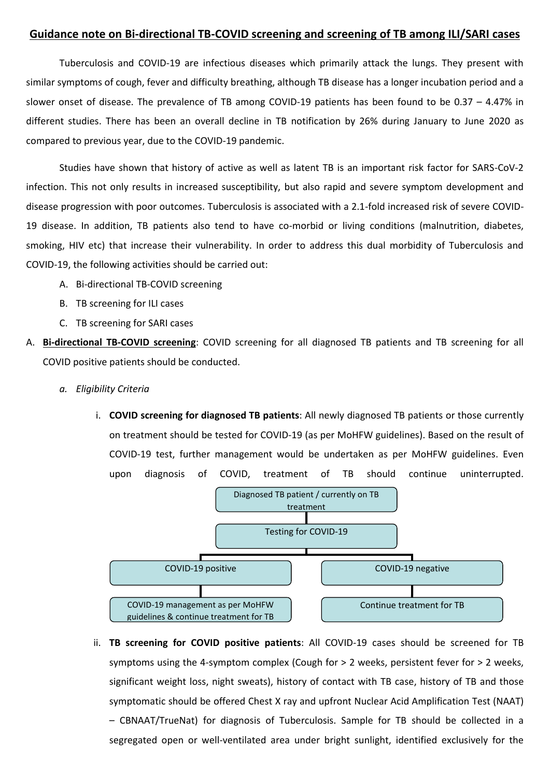## **Guidance note on Bi-directional TB-COVID screening and screening of TB among ILI/SARI cases**

Tuberculosis and COVID-19 are infectious diseases which primarily attack the lungs. They present with similar symptoms of cough, fever and difficulty breathing, although TB disease has a longer incubation period and a slower onset of disease. The prevalence of TB among COVID-19 patients has been found to be 0.37 – 4.47% in different studies. There has been an overall decline in TB notification by 26% during January to June 2020 as compared to previous year, due to the COVID-19 pandemic.

Studies have shown that history of active as well as latent TB is an important risk factor for SARS-CoV-2 infection. This not only results in increased susceptibility, but also rapid and severe symptom development and disease progression with poor outcomes. Tuberculosis is associated with a 2.1-fold increased risk of severe COVID-19 disease. In addition, TB patients also tend to have co-morbid or living conditions (malnutrition, diabetes, smoking, HIV etc) that increase their vulnerability. In order to address this dual morbidity of Tuberculosis and COVID-19, the following activities should be carried out:

- A. Bi-directional TB-COVID screening
- B. TB screening for ILI cases
- C. TB screening for SARI cases
- A. **Bi-directional TB-COVID screening**: COVID screening for all diagnosed TB patients and TB screening for all COVID positive patients should be conducted.
	- *a. Eligibility Criteria* 
		- i. **COVID screening for diagnosed TB patients**: All newly diagnosed TB patients or those currently on treatment should be tested for COVID-19 (as per MoHFW guidelines). Based on the result of COVID-19 test, further management would be undertaken as per MoHFW guidelines. Even upon diagnosis of COVID, treatment of TB should continue uninterrupted.



ii. **TB screening for COVID positive patients**: All COVID-19 cases should be screened for TB symptoms using the 4-symptom complex (Cough for > 2 weeks, persistent fever for > 2 weeks, significant weight loss, night sweats), history of contact with TB case, history of TB and those symptomatic should be offered Chest X ray and upfront Nuclear Acid Amplification Test (NAAT) – CBNAAT/TrueNat) for diagnosis of Tuberculosis. Sample for TB should be collected in a segregated open or well-ventilated area under bright sunlight, identified exclusively for the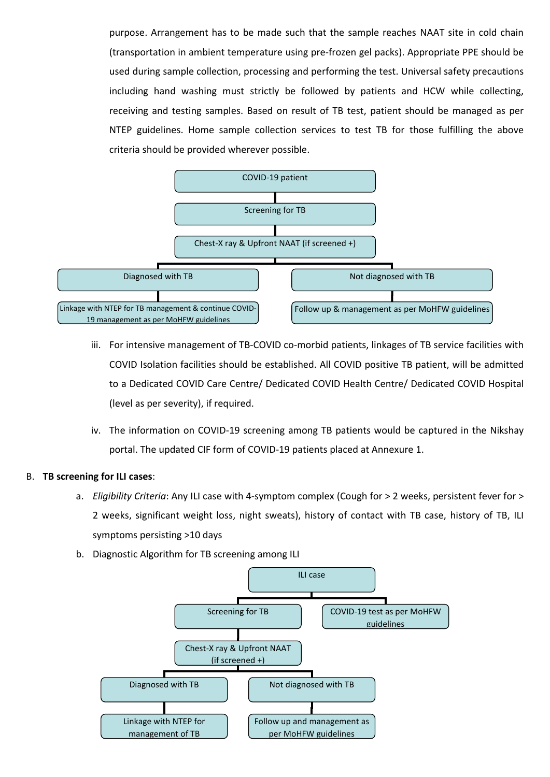purpose. Arrangement has to be made such that the sample reaches NAAT site in cold chain (transportation in ambient temperature using pre-frozen gel packs). Appropriate PPE should be used during sample collection, processing and performing the test. Universal safety precautions including hand washing must strictly be followed by patients and HCW while collecting, receiving and testing samples. Based on result of TB test, patient should be managed as per NTEP guidelines. Home sample collection services to test TB for those fulfilling the above criteria should be provided wherever possible.



- iii. For intensive management of TB-COVID co-morbid patients, linkages of TB service facilities with COVID Isolation facilities should be established. All COVID positive TB patient, will be admitted to a Dedicated COVID Care Centre/ Dedicated COVID Health Centre/ Dedicated COVID Hospital (level as per severity), if required.
- iv. The information on COVID-19 screening among TB patients would be captured in the Nikshay portal. The updated CIF form of COVID-19 patients placed at Annexure 1.

## B. **TB screening for ILI cases**:

- a. *Eligibility Criteria*: Any ILI case with 4-symptom complex (Cough for > 2 weeks, persistent fever for > 2 weeks, significant weight loss, night sweats), history of contact with TB case, history of TB, ILI symptoms persisting >10 days
- b. Diagnostic Algorithm for TB screening among ILI